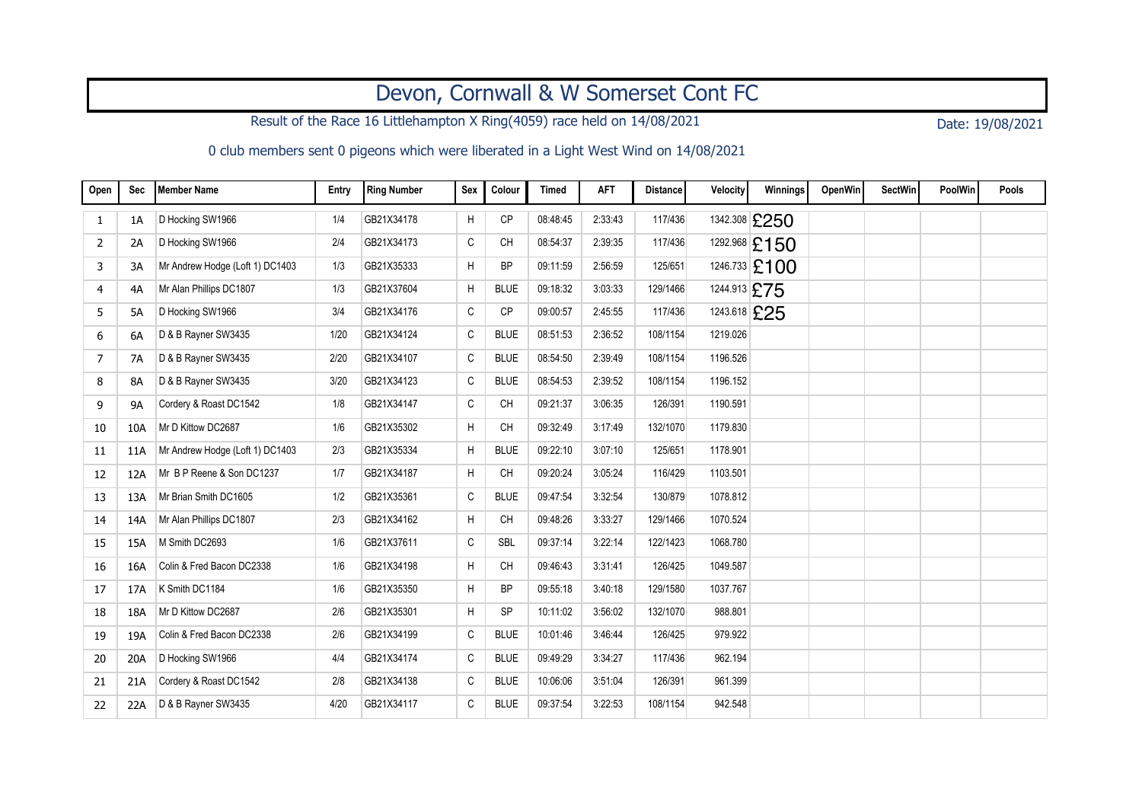## Devon, Cornwall & W Somerset Cont FC

Result of the Race 16 Littlehampton X Ring(4059) race held on 14/08/2021 Date: 19/08/2021

0 club members sent 0 pigeons which were liberated in a Light West Wind on 14/08/2021

| Open | Sec       | <b>Member Name</b>              | Entry | Ring Number | Sex | Colour      | <b>Timed</b> | <b>AFT</b> | <b>Distance</b> | <b>Velocity</b> | Winnings        | OpenWin | <b>SectWin</b> | <b>PoolWin</b> | Pools |
|------|-----------|---------------------------------|-------|-------------|-----|-------------|--------------|------------|-----------------|-----------------|-----------------|---------|----------------|----------------|-------|
| 1    | 1A        | D Hocking SW1966                | 1/4   | GB21X34178  | H   | <b>CP</b>   | 08:48:45     | 2:33:43    | 117/436         |                 | 1342.308 £250   |         |                |                |       |
| 2    | 2A        | D Hocking SW1966                | 2/4   | GB21X34173  | C   | <b>CH</b>   | 08:54:37     | 2:39:35    | 117/436         |                 | 1292.968 £150   |         |                |                |       |
| 3    | 3A        | Mr Andrew Hodge (Loft 1) DC1403 | 1/3   | GB21X35333  | H   | <b>BP</b>   | 09:11:59     | 2:56:59    | 125/651         |                 | $1246.733$ £100 |         |                |                |       |
| 4    | 4A        | Mr Alan Phillips DC1807         | 1/3   | GB21X37604  | Η   | <b>BLUE</b> | 09:18:32     | 3:03:33    | 129/1466        |                 | 1244.913 £75    |         |                |                |       |
| 5    | 5A        | D Hocking SW1966                | 3/4   | GB21X34176  | C   | <b>CP</b>   | 09:00:57     | 2:45:55    | 117/436         |                 | 1243.618 £25    |         |                |                |       |
| 6    | 6A        | D & B Rayner SW3435             | 1/20  | GB21X34124  | C   | <b>BLUE</b> | 08:51:53     | 2:36:52    | 108/1154        | 1219.026        |                 |         |                |                |       |
| 7    | <b>7A</b> | D & B Rayner SW3435             | 2/20  | GB21X34107  | C   | <b>BLUE</b> | 08:54:50     | 2:39:49    | 108/1154        | 1196.526        |                 |         |                |                |       |
| 8    | 8A        | D & B Rayner SW3435             | 3/20  | GB21X34123  | C   | <b>BLUE</b> | 08:54:53     | 2:39:52    | 108/1154        | 1196.152        |                 |         |                |                |       |
| 9    | <b>9A</b> | Cordery & Roast DC1542          | 1/8   | GB21X34147  | C   | <b>CH</b>   | 09:21:37     | 3:06:35    | 126/391         | 1190.591        |                 |         |                |                |       |
| 10   | 10A       | Mr D Kittow DC2687              | 1/6   | GB21X35302  | H   | CH          | 09:32:49     | 3:17:49    | 132/1070        | 1179.830        |                 |         |                |                |       |
| 11   | 11A       | Mr Andrew Hodge (Loft 1) DC1403 | 2/3   | GB21X35334  | H   | <b>BLUE</b> | 09:22:10     | 3:07:10    | 125/651         | 1178.901        |                 |         |                |                |       |
| 12   | 12A       | Mr B P Reene & Son DC1237       | 1/7   | GB21X34187  | H   | <b>CH</b>   | 09:20:24     | 3:05:24    | 116/429         | 1103.501        |                 |         |                |                |       |
| 13   | 13A       | Mr Brian Smith DC1605           | 1/2   | GB21X35361  | C   | <b>BLUE</b> | 09:47:54     | 3:32:54    | 130/879         | 1078.812        |                 |         |                |                |       |
| 14   | 14A       | Mr Alan Phillips DC1807         | 2/3   | GB21X34162  | H   | <b>CH</b>   | 09:48:26     | 3:33:27    | 129/1466        | 1070.524        |                 |         |                |                |       |
| 15   | 15A       | M Smith DC2693                  | 1/6   | GB21X37611  | C   | <b>SBL</b>  | 09:37:14     | 3:22:14    | 122/1423        | 1068.780        |                 |         |                |                |       |
| 16   | 16A       | Colin & Fred Bacon DC2338       | 1/6   | GB21X34198  | H   | <b>CH</b>   | 09:46:43     | 3:31:41    | 126/425         | 1049.587        |                 |         |                |                |       |
| 17   | 17A       | K Smith DC1184                  | 1/6   | GB21X35350  | H   | <b>BP</b>   | 09:55:18     | 3:40:18    | 129/1580        | 1037.767        |                 |         |                |                |       |
| 18   | 18A       | Mr D Kittow DC2687              | 2/6   | GB21X35301  | H   | <b>SP</b>   | 10:11:02     | 3:56:02    | 132/1070        | 988.801         |                 |         |                |                |       |
| 19   | 19A       | Colin & Fred Bacon DC2338       | 2/6   | GB21X34199  | С   | <b>BLUE</b> | 10:01:46     | 3 46:44    | 126/425         | 979.922         |                 |         |                |                |       |
| 20   | 20A       | D Hocking SW1966                | 4/4   | GB21X34174  | C   | <b>BLUE</b> | 09:49:29     | 3:34:27    | 117/436         | 962.194         |                 |         |                |                |       |
| 21   | 21A       | Cordery & Roast DC1542          | 2/8   | GB21X34138  | C   | <b>BLUE</b> | 10:06:06     | 3:51:04    | 126/391         | 961.399         |                 |         |                |                |       |
| 22   | 22A       | D & B Rayner SW3435             | 4/20  | GB21X34117  | C   | <b>BLUE</b> | 09:37:54     | 3:22:53    | 108/1154        | 942.548         |                 |         |                |                |       |